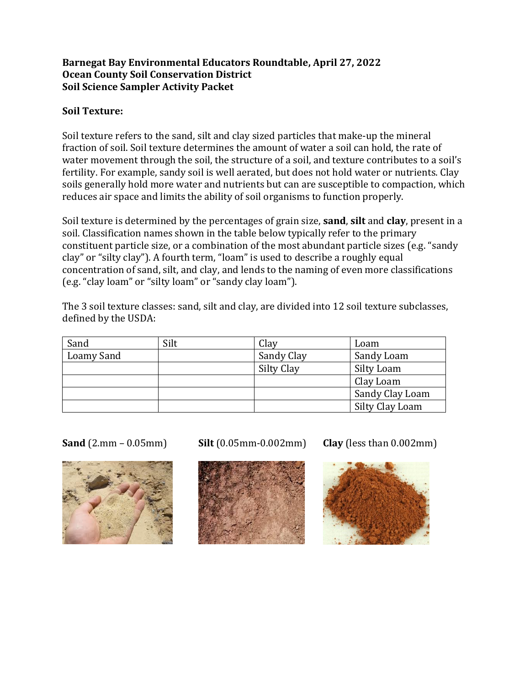### **Barnegat Bay Environmental Educators Roundtable, April 27, 2022 Ocean County Soil Conservation District Soil Science Sampler Activity Packet**

# **Soil Texture:**

Soil texture refers to the sand, silt and clay sized particles that make-up the mineral fraction of soil. Soil texture determines the amount of water a soil can hold, the rate of water movement through the soil, the structure of a soil, and texture contributes to a soil's fertility. For example, sandy soil is well aerated, but does not hold water or nutrients. Clay soils generally hold more water and nutrients but can are susceptible to compaction, which reduces air space and limits the ability of soil organisms to function properly.

Soil texture is determined by the percentages of grain size, **sand**, **silt** and **clay**, present in a soil. Classification names shown in the table below typically refer to the primary constituent particle size, or a combination of the most abundant particle sizes (e.g. "sandy clay" or "silty clay"). A fourth term, "loam" is used to describe a roughly equal concentration of sand, silt, and clay, and lends to the naming of even more classifications (e.g. "clay loam" or "silty loam" or "sandy clay loam").

The 3 soil texture classes: sand, silt and clay, are divided into 12 soil texture subclasses, defined by the USDA:

| Sand       | Silt | Clay       | Loam            |
|------------|------|------------|-----------------|
| Loamy Sand |      | Sandy Clay | Sandy Loam      |
|            |      | Silty Clay | Silty Loam      |
|            |      |            | Clay Loam       |
|            |      |            | Sandy Clay Loam |
|            |      |            | Silty Clay Loam |



**Sand** (2.mm – 0.05mm) **Silt** (0.05mm-0.002mm) **Clay** (less than 0.002mm)



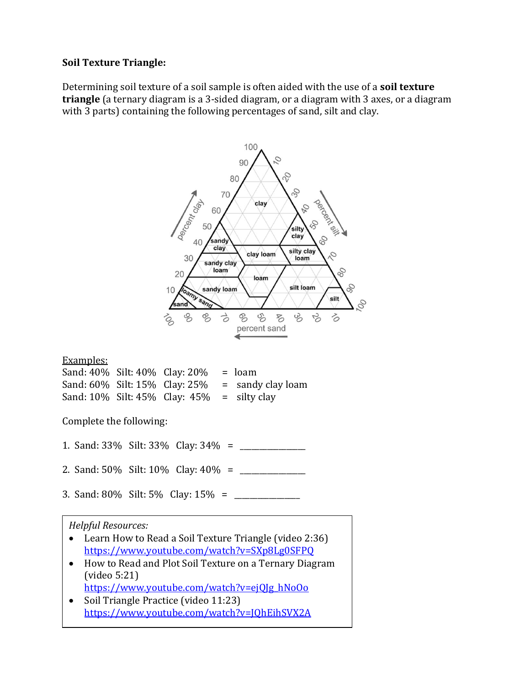### **Soil Texture Triangle:**

Determining soil texture of a soil sample is often aided with the use of a **soil texture triangle** (a ternary diagram is a 3-sided diagram, or a diagram with 3 axes, or a diagram with 3 parts) containing the following percentages of sand, silt and clay.



• Soil Triangle Practice (video 11:23) <https://www.youtube.com/watch?v=JQhEihSVX2A>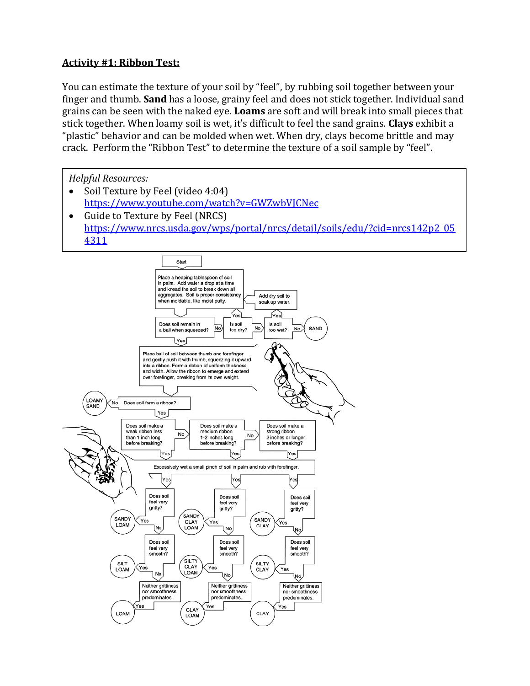# **Activity #1: Ribbon Test:**

You can estimate the texture of your soil by "feel", by rubbing soil together between your finger and thumb. **Sand** has a loose, grainy feel and does not stick together. Individual sand grains can be seen with the naked eye. **Loams** are soft and will break into small pieces that stick together. When loamy soil is wet, it's difficult to feel the sand grains. **Clays** exhibit a "plastic" behavior and can be molded when wet. When dry, clays become brittle and may crack. Perform the "Ribbon Test" to determine the texture of a soil sample by "feel".

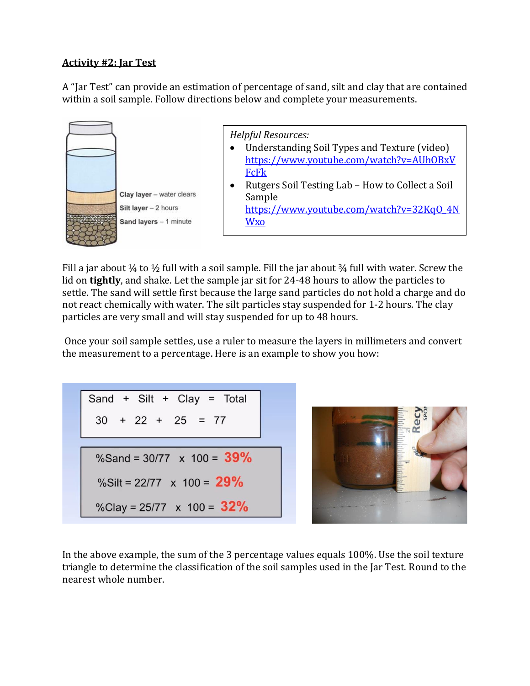### **Activity #2: Jar Test**

A "Jar Test" can provide an estimation of percentage of sand, silt and clay that are contained within a soil sample. Follow directions below and complete your measurements.



Fill a jar about  $\frac{1}{4}$  to  $\frac{1}{2}$  full with a soil sample. Fill the jar about  $\frac{3}{4}$  full with water. Screw the lid on **tightly**, and shake. Let the sample jar sit for 24-48 hours to allow the particles to settle. The sand will settle first because the large sand particles do not hold a charge and do not react chemically with water. The silt particles stay suspended for 1-2 hours. The clay particles are very small and will stay suspended for up to 48 hours.

Once your soil sample settles, use a ruler to measure the layers in millimeters and convert the measurement to a percentage. Here is an example to show you how:



In the above example, the sum of the 3 percentage values equals 100%. Use the soil texture triangle to determine the classification of the soil samples used in the Jar Test. Round to the nearest whole number.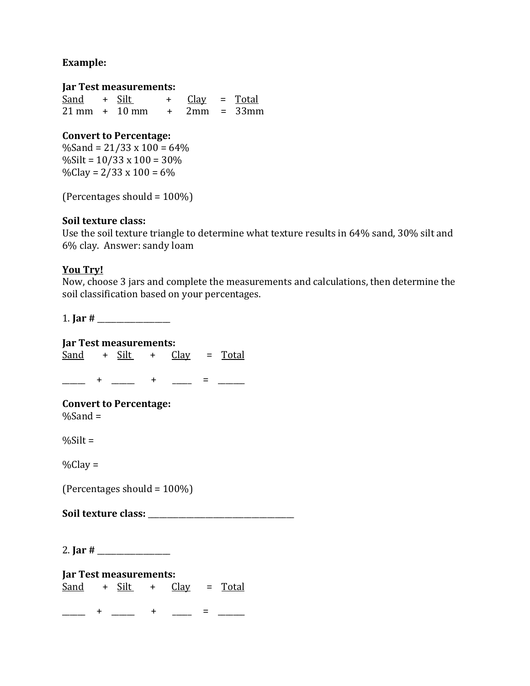### **Example:**

#### **Jar Test measurements:**

 $Sand + Silt + Class = Total$ 21 mm + 10 mm + 2mm = 33mm

### **Convert to Percentage:**

 $%$ Sand = 21/33 x 100 = 64 $%$  $\%$ Silt = 10/33 x 100 = 30%  $\%$ Clay = 2/33 x 100 = 6%

(Percentages should  $= 100\%$ )

### **Soil texture class:**

Use the soil texture triangle to determine what texture results in 64% sand, 30% silt and 6% clay. Answer: sandy loam

### **You Try!**

Now, choose 3 jars and complete the measurements and calculations, then determine the soil classification based on your percentages.

1. **Jar #** \_\_\_\_\_\_\_\_\_\_\_\_\_\_\_\_\_\_\_

**Jar Test measurements:**   $Sand + Silt + Clay = Total$ 

\_\_\_\_\_\_ + \_\_\_\_\_\_ + \_\_\_\_\_ = \_\_\_\_\_\_\_

**Convert to Percentage:**  $%$ Sand =

 $%Silt =$ 

 $%$ Clay =

(Percentages should = 100%)

**Soil texture class:** \_\_\_\_\_\_\_\_\_\_\_\_\_\_\_\_\_\_\_\_\_\_\_\_\_\_\_\_\_\_\_\_\_\_\_\_\_\_

2. **Jar**  $#$ 

**Jar Test measurements:**  Sand + Silt + Clay = Total

 $\frac{1}{1-\frac{1}{2}}$  +  $\frac{1}{1-\frac{1}{2}}$  +  $\frac{1}{1-\frac{1}{2}}$  =  $\frac{1}{1-\frac{1}{2}}$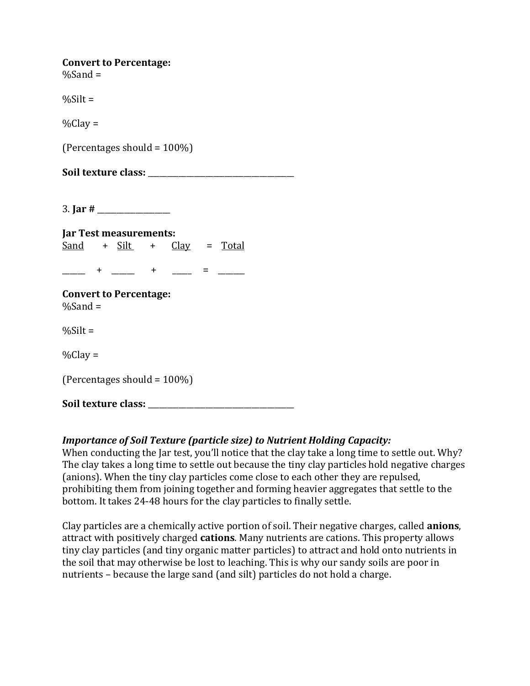| <b>Convert to Percentage:</b> |  |
|-------------------------------|--|
| $%$ Sand =                    |  |

 $%Silt =$ 

 $%$ Clay =

(Percentages should =  $100\%$ )

Soil texture class:

3. **Jar #** \_\_\_\_\_\_\_\_\_\_\_\_\_\_\_\_\_\_\_

**Jar Test measurements:**   $Sand + Silt + Clay = Total$ 

\_\_\_\_\_ + \_\_\_\_ + \_\_\_\_ = \_\_\_\_

**Convert to Percentage:**  $%$ Sand =

 $%$ Silt =

 $\%$ Clay =

(Percentages should  $= 100\%$ )

Soil texture class:

### *Importance of Soil Texture (particle size) to Nutrient Holding Capacity:*

When conducting the Jar test, you'll notice that the clay take a long time to settle out. Why? The clay takes a long time to settle out because the tiny clay particles hold negative charges (anions). When the tiny clay particles come close to each other they are repulsed, prohibiting them from joining together and forming heavier aggregates that settle to the bottom. It takes 24-48 hours for the clay particles to finally settle.

Clay particles are a chemically active portion of soil. Their negative charges, called **anions**, attract with positively charged **cations**. Many nutrients are cations. This property allows tiny clay particles (and tiny organic matter particles) to attract and hold onto nutrients in the soil that may otherwise be lost to leaching. This is why our sandy soils are poor in nutrients – because the large sand (and silt) particles do not hold a charge.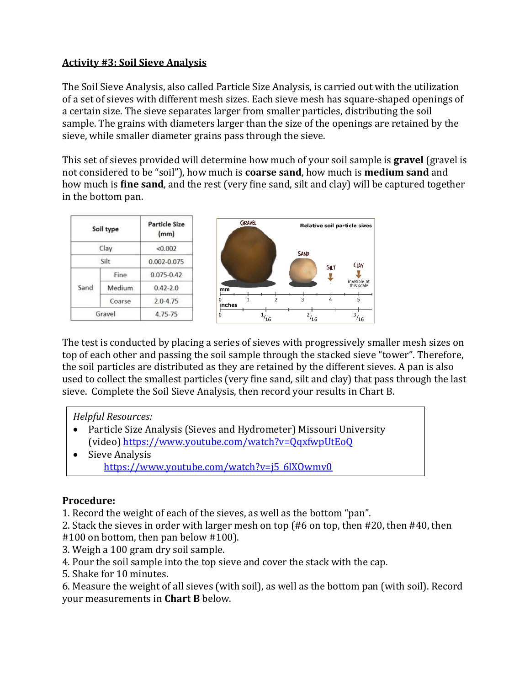# **Activity #3: Soil Sieve Analysis**

The Soil Sieve Analysis, also called Particle Size Analysis, is carried out with the utilization of a set of sieves with different mesh sizes. Each sieve mesh has square-shaped openings of a certain size. The sieve separates larger from smaller particles, distributing the soil sample. The grains with diameters larger than the size of the openings are retained by the sieve, while smaller diameter grains pass through the sieve.

This set of sieves provided will determine how much of your soil sample is **gravel** (gravel is not considered to be "soil"), how much is **coarse sand**, how much is **medium sand** and how much is **fine sand**, and the rest (very fine sand, silt and clay) will be captured together in the bottom pan.

| Soil type |        | <b>Particle Size</b><br>(mm) |  |
|-----------|--------|------------------------------|--|
| Clay      |        | < 0.002                      |  |
| Silt      |        | 0.002-0.075                  |  |
| Sand      | Fine   | $0.075 - 0.42$               |  |
|           | Medium | $0.42 - 2.0$                 |  |
|           | Coarse | $2.0 - 4.75$                 |  |
| Gravel    |        | 4.75-75                      |  |



The test is conducted by placing a series of sieves with progressively smaller mesh sizes on top of each other and passing the soil sample through the stacked sieve "tower". Therefore, the soil particles are distributed as they are retained by the different sieves. A pan is also used to collect the smallest particles (very fine sand, silt and clay) that pass through the last sieve. Complete the Soil Sieve Analysis, then record your results in Chart B.

# *Helpful Resources:*

- Particle Size Analysis (Sieves and Hydrometer) Missouri University (video)<https://www.youtube.com/watch?v=QqxfwpUtEoQ>
- Sieve Analysis [https://www.youtube.com/watch?v=j5\\_6lXOwmv0](https://www.youtube.com/watch?v=j5_6lXOwmv0)

# **Procedure:**

1. Record the weight of each of the sieves, as well as the bottom "pan".

2. Stack the sieves in order with larger mesh on top (#6 on top, then #20, then #40, then #100 on bottom, then pan below #100).

- 3. Weigh a 100 gram dry soil sample.
- 4. Pour the soil sample into the top sieve and cover the stack with the cap.
- 5. Shake for 10 minutes.

6. Measure the weight of all sieves (with soil), as well as the bottom pan (with soil). Record your measurements in **Chart B** below.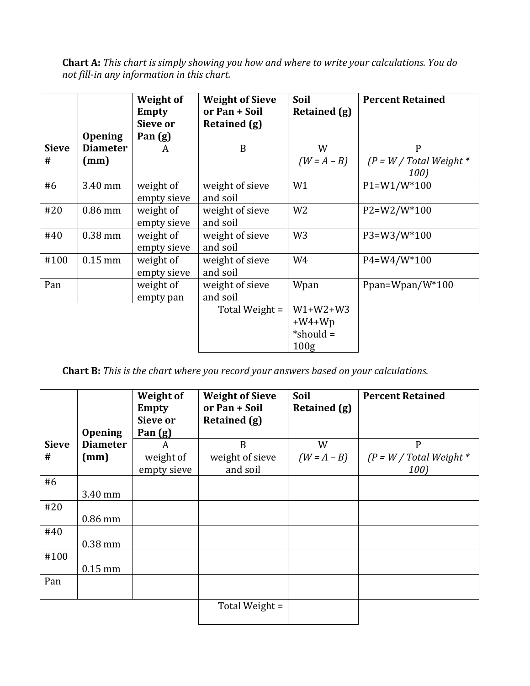**Chart A:** *This chart is simply showing you how and where to write your calculations. You do not fill-in any information in this chart.*

|                   | <b>Opening</b>          | Weight of<br>Empty<br>Sieve or<br>Pan (g) | <b>Weight of Sieve</b><br>or Pan + Soil<br>Retained (g) | Soil<br>Retained (g)                                      | <b>Percent Retained</b>                           |
|-------------------|-------------------------|-------------------------------------------|---------------------------------------------------------|-----------------------------------------------------------|---------------------------------------------------|
| <b>Sieve</b><br># | <b>Diameter</b><br>(mm) | A                                         | B                                                       | W<br>$(W = A - B)$                                        | $\mathsf{P}$<br>$(P = W / Total Weight *$<br>100) |
| #6                | 3.40 mm                 | weight of<br>empty sieve                  | weight of sieve<br>and soil                             | W1                                                        | $P1 = W1/W^*100$                                  |
| #20               | $0.86$ mm               | weight of<br>empty sieve                  | weight of sieve<br>and soil                             | W <sub>2</sub>                                            | P2=W2/W*100                                       |
| #40               | $0.38$ mm               | weight of<br>empty sieve                  | weight of sieve<br>and soil                             | W <sub>3</sub>                                            | P3=W3/W*100                                       |
| #100              | $0.15$ mm               | weight of<br>empty sieve                  | weight of sieve<br>and soil                             | W4                                                        | P4=W4/W*100                                       |
| Pan               |                         | weight of<br>empty pan                    | weight of sieve<br>and soil                             | Wpan                                                      | Ppan=Wpan/W $*100$                                |
|                   |                         |                                           | Total Weight =                                          | $W1+W2+W3$<br>$+W4+Wp$<br>*should $=$<br>100 <sub>g</sub> |                                                   |

**Chart B:** *This is the chart where you record your answers based on your calculations.*

|              |                 | <b>Weight of</b><br><b>Empty</b><br>Sieve or | <b>Weight of Sieve</b><br>or Pan + Soil<br>Retained (g) | Soil<br>Retained (g) | <b>Percent Retained</b>   |
|--------------|-----------------|----------------------------------------------|---------------------------------------------------------|----------------------|---------------------------|
|              | <b>Opening</b>  | Pan (g)                                      |                                                         |                      |                           |
| <b>Sieve</b> | <b>Diameter</b> | A                                            | B                                                       | W                    | $\mathbf{P}$              |
| #            | (mm)            | weight of                                    | weight of sieve                                         | $(W = A - B)$        | $(P = W / Total Weight *$ |
|              |                 | empty sieve                                  | and soil                                                |                      | 100)                      |
| #6           |                 |                                              |                                                         |                      |                           |
|              | 3.40 mm         |                                              |                                                         |                      |                           |
| #20          |                 |                                              |                                                         |                      |                           |
|              | 0.86 mm         |                                              |                                                         |                      |                           |
| #40          |                 |                                              |                                                         |                      |                           |
|              | $0.38$ mm       |                                              |                                                         |                      |                           |
| #100         |                 |                                              |                                                         |                      |                           |
|              | $0.15$ mm       |                                              |                                                         |                      |                           |
| Pan          |                 |                                              |                                                         |                      |                           |
|              |                 |                                              |                                                         |                      |                           |
|              |                 |                                              | Total Weight =                                          |                      |                           |
|              |                 |                                              |                                                         |                      |                           |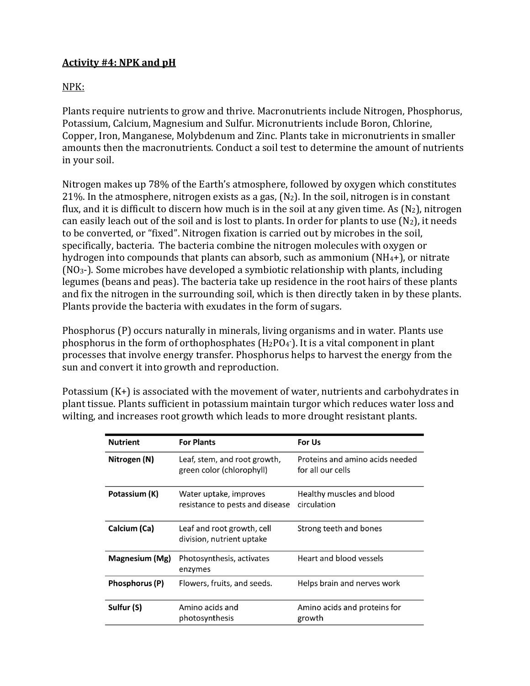# **Activity #4: NPK and pH**

# NPK:

Plants require nutrients to grow and thrive. Macronutrients include Nitrogen, Phosphorus, Potassium, Calcium, Magnesium and Sulfur. Micronutrients include Boron, Chlorine, Copper, Iron, Manganese, Molybdenum and Zinc. Plants take in micronutrients in smaller amounts then the macronutrients. Conduct a soil test to determine the amount of nutrients in your soil.

Nitrogen makes up 78% of the Earth's atmosphere, followed by oxygen which constitutes 21%. In the atmosphere, nitrogen exists as a gas,  $(N_2)$ . In the soil, nitrogen is in constant flux, and it is difficult to discern how much is in the soil at any given time. As  $(N_2)$ , nitrogen can easily leach out of the soil and is lost to plants. In order for plants to use  $(N_2)$ , it needs to be converted, or "fixed". Nitrogen fixation is carried out by microbes in the soil, specifically, bacteria. The bacteria combine the nitrogen molecules with oxygen or hydrogen into compounds that plants can absorb, such as ammonium (NH4+), or nitrate (NO3-). Some microbes have developed a symbiotic relationship with plants, including legumes (beans and peas). The bacteria take up residence in the root hairs of these plants and fix the nitrogen in the surrounding soil, which is then directly taken in by these plants. Plants provide the bacteria with exudates in the form of sugars.

Phosphorus (P) occurs naturally in minerals, living organisms and in water. Plants use phosphorus in the form of orthophosphates  $(H_2PO_4)$ . It is a vital component in plant processes that involve energy transfer. Phosphorus helps to harvest the energy from the sun and convert it into growth and reproduction.

Potassium (K+) is associated with the movement of water, nutrients and carbohydrates in plant tissue. Plants sufficient in potassium maintain turgor which reduces water loss and wilting, and increases root growth which leads to more drought resistant plants.

| <b>Nutrient</b> | <b>For Plants</b>                                         | For Us                                               |
|-----------------|-----------------------------------------------------------|------------------------------------------------------|
| Nitrogen (N)    | Leaf, stem, and root growth,<br>green color (chlorophyll) | Proteins and amino acids needed<br>for all our cells |
| Potassium (K)   | Water uptake, improves<br>resistance to pests and disease | Healthy muscles and blood<br>circulation             |
| Calcium (Ca)    | Leaf and root growth, cell<br>division, nutrient uptake   | Strong teeth and bones                               |
| Magnesium (Mg)  | Photosynthesis, activates<br>enzymes                      | Heart and blood vessels                              |
| Phosphorus (P)  | Flowers, fruits, and seeds.                               | Helps brain and nerves work                          |
| Sulfur (S)      | Amino acids and<br>photosynthesis                         | Amino acids and proteins for<br>growth               |